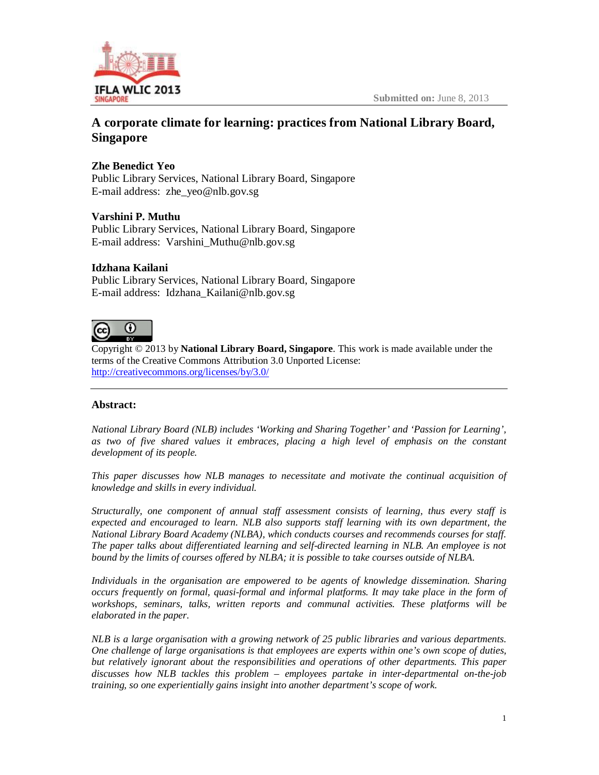

# **A corporate climate for learning: practices from National Library Board, Singapore**

## **Zhe Benedict Yeo**

Public Library Services, National Library Board, Singapore E-mail address: [zhe\\_yeo@nlb.gov.sg](mailto:zhe_yeo@nlb.gov.sg)

## **Varshini P. Muthu**

Public Library Services, National Library Board, Singapore E-mail address: [Varshini\\_Muthu@nlb.gov.sg](mailto:Varshini_Muthu@nlb.gov.sg)

## **Idzhana Kailani**

Public Library Services, National Library Board, Singapore E-mail address: [Idzhana\\_Kailani@nlb.gov.sg](mailto:Idzhana_Kailani@nlb.gov.sg)

#### റ (cc

Copyright © 2013 by **National Library Board, Singapore**. This work is made available under the terms of the Creative Commons Attribution 3.0 Unported License: <http://creativecommons.org/licenses/by/3.0/>

## **Abstract:**

*National Library Board (NLB) includes 'Working and Sharing Together' and 'Passion for Learning', as two of five shared values it embraces, placing a high level of emphasis on the constant development of its people.* 

*This paper discusses how NLB manages to necessitate and motivate the continual acquisition of knowledge and skills in every individual.*

*Structurally, one component of annual staff assessment consists of learning, thus every staff is expected and encouraged to learn. NLB also supports staff learning with its own department, the National Library Board Academy (NLBA), which conducts courses and recommends courses for staff. The paper talks about differentiated learning and self-directed learning in NLB. An employee is not bound by the limits of courses offered by NLBA; it is possible to take courses outside of NLBA.*

*Individuals in the organisation are empowered to be agents of knowledge dissemination. Sharing occurs frequently on formal, quasi-formal and informal platforms. It may take place in the form of workshops, seminars, talks, written reports and communal activities. These platforms will be elaborated in the paper.*

*NLB is a large organisation with a growing network of 25 public libraries and various departments. One challenge of large organisations is that employees are experts within one's own scope of duties, but relatively ignorant about the responsibilities and operations of other departments. This paper discusses how NLB tackles this problem – employees partake in inter-departmental on-the-job training, so one experientially gains insight into another department's scope of work.*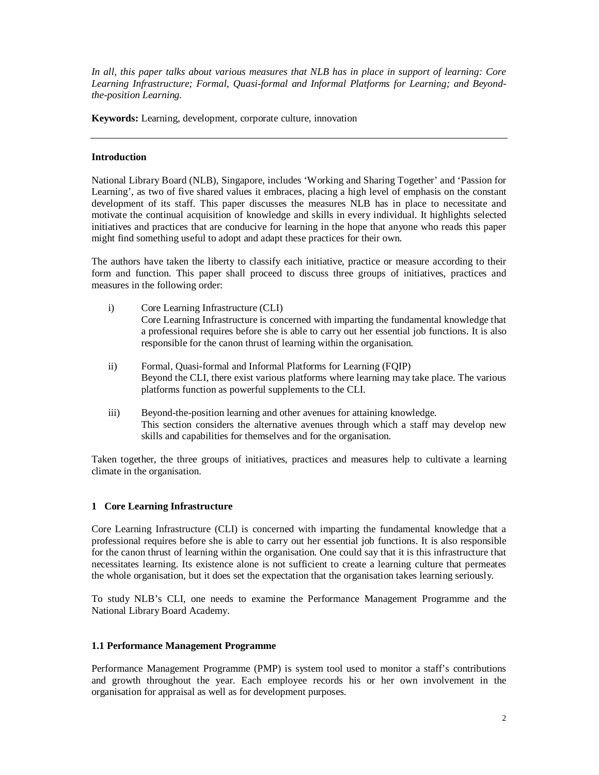*In all, this paper talks about various measures that NLB has in place in support of learning: Core Learning Infrastructure; Formal, Quasi-formal and Informal Platforms for Learning; and Beyondthe-position Learning.* 

**Keywords:** Learning, development, corporate culture, innovation

#### **Introduction**

National Library Board (NLB), Singapore, includes 'Working and Sharing Together' and 'Passion for Learning', as two of five shared values it embraces, placing a high level of emphasis on the constant development of its staff. This paper discusses the measures NLB has in place to necessitate and motivate the continual acquisition of knowledge and skills in every individual. It highlights selected initiatives and practices that are conducive for learning in the hope that anyone who reads this paper might find something useful to adopt and adapt these practices for their own.

The authors have taken the liberty to classify each initiative, practice or measure according to their form and function. This paper shall proceed to discuss three groups of initiatives, practices and measures in the following order:

- i) Core Learning Infrastructure (CLI) Core Learning Infrastructure is concerned with imparting the fundamental knowledge that a professional requires before she is able to carry out her essential job functions. It is also responsible for the canon thrust of learning within the organisation.
- ii) Formal, Quasi-formal and Informal Platforms for Learning (FQIP) Beyond the CLI, there exist various platforms where learning may take place. The various platforms function as powerful supplements to the CLI.
- iii) Beyond-the-position learning and other avenues for attaining knowledge. This section considers the alternative avenues through which a staff may develop new skills and capabilities for themselves and for the organisation.

Taken together, the three groups of initiatives, practices and measures help to cultivate a learning climate in the organisation.

## **1 Core Learning Infrastructure**

Core Learning Infrastructure (CLI) is concerned with imparting the fundamental knowledge that a professional requires before she is able to carry out her essential job functions. It is also responsible for the canon thrust of learning within the organisation. One could say that it is this infrastructure that necessitates learning. Its existence alone is not sufficient to create a learning culture that permeates the whole organisation, but it does set the expectation that the organisation takes learning seriously.

To study NLB's CLI, one needs to examine the Performance Management Programme and the National Library Board Academy.

#### **1.1 Performance Management Programme**

Performance Management Programme (PMP) is system tool used to monitor a staff's contributions and growth throughout the year. Each employee records his or her own involvement in the organisation for appraisal as well as for development purposes.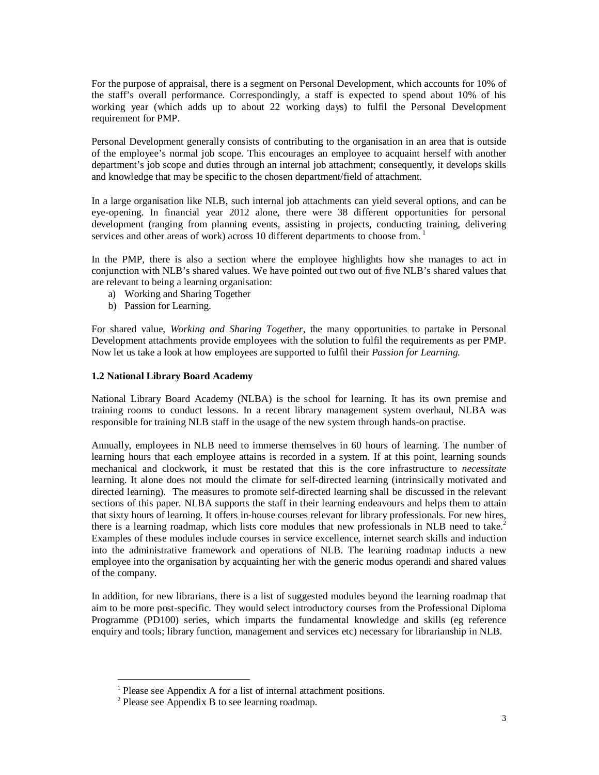For the purpose of appraisal, there is a segment on Personal Development, which accounts for 10% of the staff's overall performance. Correspondingly, a staff is expected to spend about 10% of his working year (which adds up to about 22 working days) to fulfil the Personal Development requirement for PMP.

Personal Development generally consists of contributing to the organisation in an area that is outside of the employee's normal job scope. This encourages an employee to acquaint herself with another department's job scope and duties through an internal job attachment; consequently, it develops skills and knowledge that may be specific to the chosen department/field of attachment.

In a large organisation like NLB, such internal job attachments can yield several options, and can be eye-opening. In financial year 2012 alone, there were 38 different opportunities for personal development (ranging from planning events, assisting in projects, conducting training, delivering services and other areas of work) across 10 different departments to choose from.<sup>1</sup>

In the PMP, there is also a section where the employee highlights how she manages to act in conjunction with NLB's shared values. We have pointed out two out of five NLB's shared values that are relevant to being a learning organisation:

- a) Working and Sharing Together
- b) Passion for Learning.

For shared value, *Working and Sharing Together*, the many opportunities to partake in Personal Development attachments provide employees with the solution to fulfil the requirements as per PMP. Now let us take a look at how employees are supported to fulfil their *Passion for Learning.*

#### **1.2 National Library Board Academy**

National Library Board Academy (NLBA) is the school for learning. It has its own premise and training rooms to conduct lessons. In a recent library management system overhaul, NLBA was responsible for training NLB staff in the usage of the new system through hands-on practise.

Annually, employees in NLB need to immerse themselves in 60 hours of learning. The number of learning hours that each employee attains is recorded in a system. If at this point, learning sounds mechanical and clockwork, it must be restated that this is the core infrastructure to *necessitate* learning. It alone does not mould the climate for self-directed learning (intrinsically motivated and directed learning). The measures to promote self-directed learning shall be discussed in the relevant sections of this paper. NLBA supports the staff in their learning endeavours and helps them to attain that sixty hours of learning. It offers in-house courses relevant for library professionals. For new hires, there is a learning roadmap, which lists core modules that new professionals in NLB need to take.<sup>2</sup> Examples of these modules include courses in service excellence, internet search skills and induction into the administrative framework and operations of NLB. The learning roadmap inducts a new employee into the organisation by acquainting her with the generic modus operandi and shared values of the company.

In addition, for new librarians, there is a list of suggested modules beyond the learning roadmap that aim to be more post-specific. They would select introductory courses from the Professional Diploma Programme (PD100) series, which imparts the fundamental knowledge and skills (eg reference enquiry and tools; library function, management and services etc) necessary for librarianship in NLB.

-

<sup>1</sup> Please see Appendix A for a list of internal attachment positions.

 $2$  Please see Appendix B to see learning roadmap.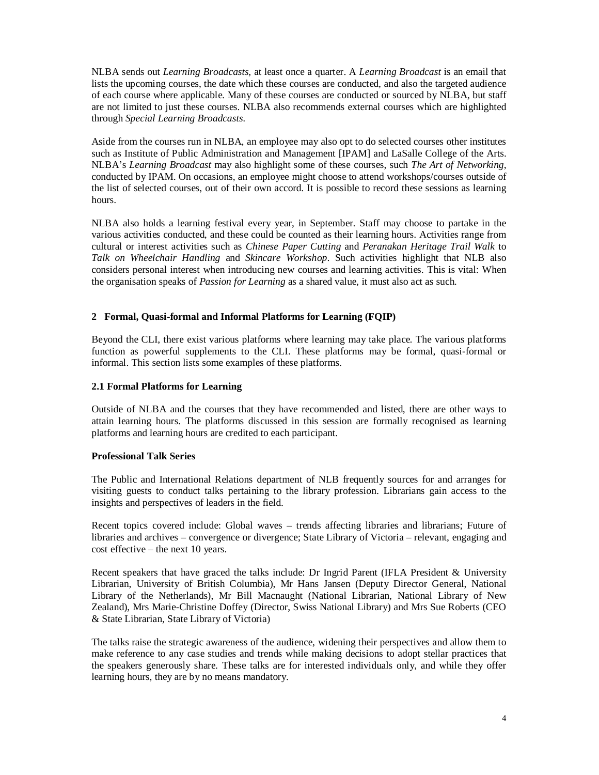NLBA sends out *Learning Broadcasts,* at least once a quarter. A *Learning Broadcast* is an email that lists the upcoming courses, the date which these courses are conducted, and also the targeted audience of each course where applicable. Many of these courses are conducted or sourced by NLBA, but staff are not limited to just these courses. NLBA also recommends external courses which are highlighted through *Special Learning Broadcasts.*

Aside from the courses run in NLBA, an employee may also opt to do selected courses other institutes such as Institute of Public Administration and Management [IPAM] and LaSalle College of the Arts. NLBA's *Learning Broadcast* may also highlight some of these courses, such *The Art of Networking*, conducted by IPAM. On occasions, an employee might choose to attend workshops/courses outside of the list of selected courses, out of their own accord. It is possible to record these sessions as learning hours.

NLBA also holds a learning festival every year, in September. Staff may choose to partake in the various activities conducted, and these could be counted as their learning hours. Activities range from cultural or interest activities such as *Chinese Paper Cutting* and *Peranakan Heritage Trail Walk* to *Talk on Wheelchair Handling* and *Skincare Workshop*. Such activities highlight that NLB also considers personal interest when introducing new courses and learning activities. This is vital: When the organisation speaks of *Passion for Learning* as a shared value, it must also act as such.

#### **2 Formal, Quasi-formal and Informal Platforms for Learning (FQIP)**

Beyond the CLI, there exist various platforms where learning may take place. The various platforms function as powerful supplements to the CLI. These platforms may be formal, quasi-formal or informal. This section lists some examples of these platforms.

#### **2.1 Formal Platforms for Learning**

Outside of NLBA and the courses that they have recommended and listed, there are other ways to attain learning hours. The platforms discussed in this session are formally recognised as learning platforms and learning hours are credited to each participant.

#### **Professional Talk Series**

The Public and International Relations department of NLB frequently sources for and arranges for visiting guests to conduct talks pertaining to the library profession. Librarians gain access to the insights and perspectives of leaders in the field.

Recent topics covered include: Global waves – trends affecting libraries and librarians; Future of libraries and archives – convergence or divergence; State Library of Victoria – relevant, engaging and cost effective – the next 10 years.

Recent speakers that have graced the talks include: Dr Ingrid Parent (IFLA President & University Librarian, University of British Columbia), Mr Hans Jansen (Deputy Director General, National Library of the Netherlands), Mr Bill Macnaught (National Librarian, National Library of New Zealand), Mrs Marie-Christine Doffey (Director, Swiss National Library) and Mrs Sue Roberts (CEO & State Librarian, State Library of Victoria)

The talks raise the strategic awareness of the audience, widening their perspectives and allow them to make reference to any case studies and trends while making decisions to adopt stellar practices that the speakers generously share. These talks are for interested individuals only, and while they offer learning hours, they are by no means mandatory.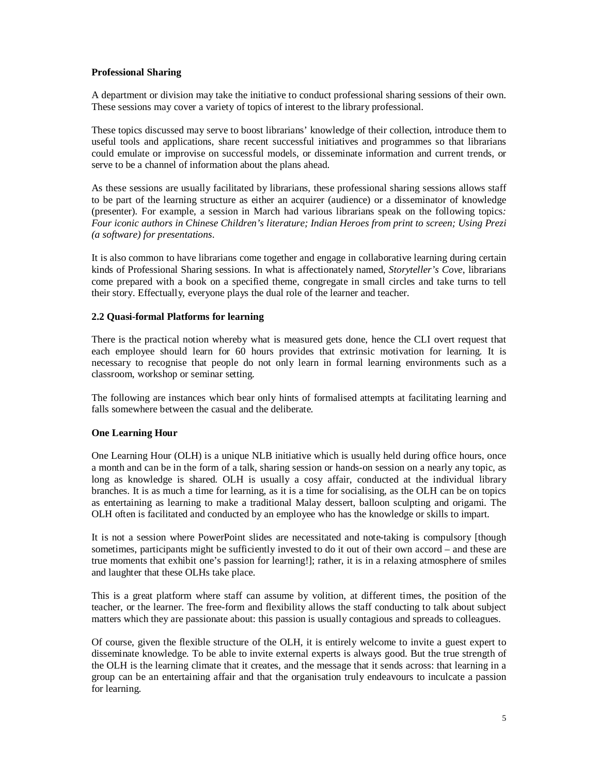#### **Professional Sharing**

A department or division may take the initiative to conduct professional sharing sessions of their own. These sessions may cover a variety of topics of interest to the library professional.

These topics discussed may serve to boost librarians' knowledge of their collection, introduce them to useful tools and applications, share recent successful initiatives and programmes so that librarians could emulate or improvise on successful models, or disseminate information and current trends, or serve to be a channel of information about the plans ahead.

As these sessions are usually facilitated by librarians, these professional sharing sessions allows staff to be part of the learning structure as either an acquirer (audience) or a disseminator of knowledge (presenter). For example, a session in March had various librarians speak on the following topics*: Four iconic authors in Chinese Children's literature; Indian Heroes from print to screen; Using Prezi (a software) for presentations*.

It is also common to have librarians come together and engage in collaborative learning during certain kinds of Professional Sharing sessions. In what is affectionately named, *Storyteller's Cove*, librarians come prepared with a book on a specified theme, congregate in small circles and take turns to tell their story. Effectually, everyone plays the dual role of the learner and teacher.

#### **2.2 Quasi-formal Platforms for learning**

There is the practical notion whereby what is measured gets done, hence the CLI overt request that each employee should learn for 60 hours provides that extrinsic motivation for learning. It is necessary to recognise that people do not only learn in formal learning environments such as a classroom, workshop or seminar setting.

The following are instances which bear only hints of formalised attempts at facilitating learning and falls somewhere between the casual and the deliberate.

## **One Learning Hour**

One Learning Hour (OLH) is a unique NLB initiative which is usually held during office hours, once a month and can be in the form of a talk, sharing session or hands-on session on a nearly any topic, as long as knowledge is shared. OLH is usually a cosy affair, conducted at the individual library branches. It is as much a time for learning, as it is a time for socialising, as the OLH can be on topics as entertaining as learning to make a traditional Malay dessert, balloon sculpting and origami. The OLH often is facilitated and conducted by an employee who has the knowledge or skills to impart.

It is not a session where PowerPoint slides are necessitated and note-taking is compulsory [though sometimes, participants might be sufficiently invested to do it out of their own accord – and these are true moments that exhibit one's passion for learning!]; rather, it is in a relaxing atmosphere of smiles and laughter that these OLHs take place.

This is a great platform where staff can assume by volition, at different times, the position of the teacher, or the learner. The free-form and flexibility allows the staff conducting to talk about subject matters which they are passionate about: this passion is usually contagious and spreads to colleagues.

Of course, given the flexible structure of the OLH, it is entirely welcome to invite a guest expert to disseminate knowledge. To be able to invite external experts is always good. But the true strength of the OLH is the learning climate that it creates, and the message that it sends across: that learning in a group can be an entertaining affair and that the organisation truly endeavours to inculcate a passion for learning.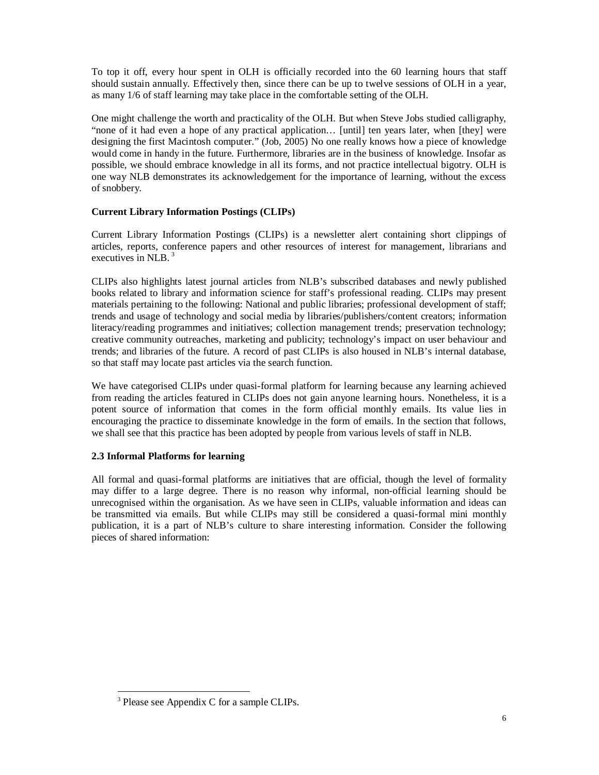To top it off, every hour spent in OLH is officially recorded into the 60 learning hours that staff should sustain annually. Effectively then, since there can be up to twelve sessions of OLH in a year, as many 1/6 of staff learning may take place in the comfortable setting of the OLH.

One might challenge the worth and practicality of the OLH. But when Steve Jobs studied calligraphy, "none of it had even a hope of any practical application… [until] ten years later, when [they] were designing the first Macintosh computer." (Job, 2005) No one really knows how a piece of knowledge would come in handy in the future. Furthermore, libraries are in the business of knowledge. Insofar as possible, we should embrace knowledge in all its forms, and not practice intellectual bigotry. OLH is one way NLB demonstrates its acknowledgement for the importance of learning, without the excess of snobbery.

#### **Current Library Information Postings (CLIPs)**

Current Library Information Postings (CLIPs) is a newsletter alert containing short clippings of articles, reports, conference papers and other resources of interest for management, librarians and executives in NLB. <sup>3</sup>

CLIPs also highlights latest journal articles from NLB's subscribed databases and newly published books related to library and information science for staff's professional reading. CLIPs may present materials pertaining to the following: National and public libraries; professional development of staff; trends and usage of technology and social media by libraries/publishers/content creators; information literacy/reading programmes and initiatives; collection management trends; preservation technology; creative community outreaches, marketing and publicity; technology's impact on user behaviour and trends; and libraries of the future. A record of past CLIPs is also housed in NLB's internal database, so that staff may locate past articles via the search function.

We have categorised CLIPs under quasi-formal platform for learning because any learning achieved from reading the articles featured in CLIPs does not gain anyone learning hours. Nonetheless, it is a potent source of information that comes in the form official monthly emails. Its value lies in encouraging the practice to disseminate knowledge in the form of emails. In the section that follows, we shall see that this practice has been adopted by people from various levels of staff in NLB.

## **2.3 Informal Platforms for learning**

All formal and quasi-formal platforms are initiatives that are official, though the level of formality may differ to a large degree. There is no reason why informal, non-official learning should be unrecognised within the organisation. As we have seen in CLIPs, valuable information and ideas can be transmitted via emails. But while CLIPs may still be considered a quasi-formal mini monthly publication, it is a part of NLB's culture to share interesting information. Consider the following pieces of shared information:

<sup>-</sup><sup>3</sup> Please see Appendix C for a sample CLIPs.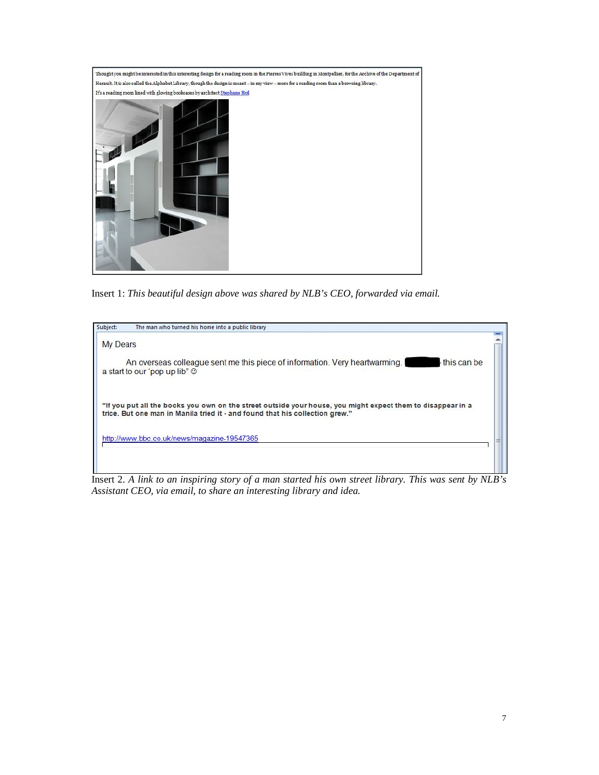

Insert 1: *This beautiful design above was shared by NLB's CEO, forwarded via email.*



Insert 2. *A link to an inspiring story of a man started his own street library. This was sent by NLB's Assistant CEO, via email, to share an interesting library and idea.*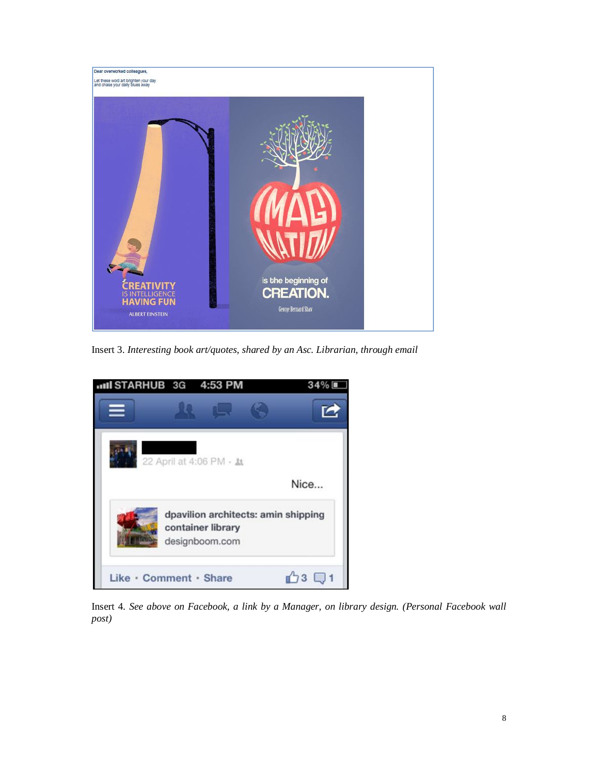

Insert 3. *Interesting book art/quotes, shared by an Asc. Librarian, through email*



Insert 4. *See above on Facebook, a link by a Manager, on library design. (Personal Facebook wall post)*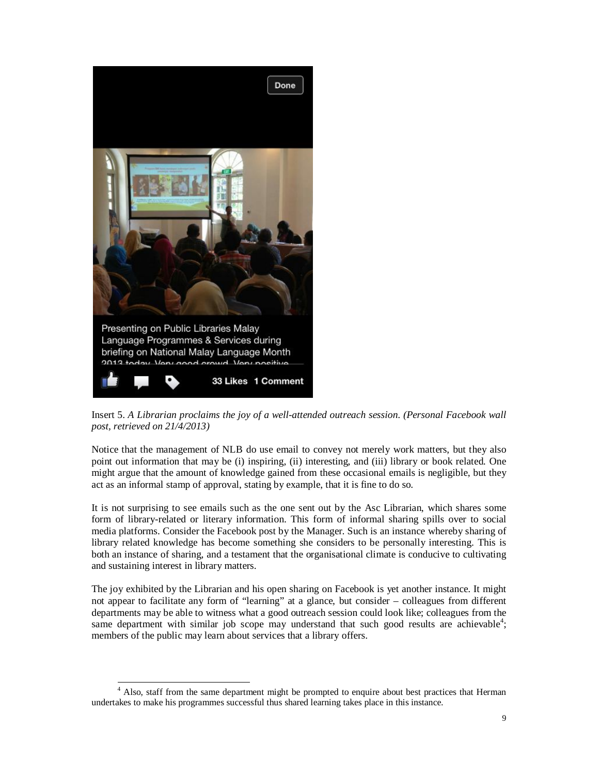

Insert 5. *A Librarian proclaims the joy of a well-attended outreach session. (Personal Facebook wall post, retrieved on 21/4/2013)*

Notice that the management of NLB do use email to convey not merely work matters, but they also point out information that may be (i) inspiring, (ii) interesting, and (iii) library or book related. One might argue that the amount of knowledge gained from these occasional emails is negligible, but they act as an informal stamp of approval, stating by example, that it is fine to do so.

It is not surprising to see emails such as the one sent out by the Asc Librarian, which shares some form of library-related or literary information. This form of informal sharing spills over to social media platforms. Consider the Facebook post by the Manager. Such is an instance whereby sharing of library related knowledge has become something she considers to be personally interesting. This is both an instance of sharing, and a testament that the organisational climate is conducive to cultivating and sustaining interest in library matters.

The joy exhibited by the Librarian and his open sharing on Facebook is yet another instance. It might not appear to facilitate any form of "learning" at a glance, but consider – colleagues from different departments may be able to witness what a good outreach session could look like; colleagues from the same department with similar job scope may understand that such good results are achievable<sup>4</sup>; members of the public may learn about services that a library offers.

<sup>-</sup><sup>4</sup> Also, staff from the same department might be prompted to enquire about best practices that Herman undertakes to make his programmes successful thus shared learning takes place in this instance.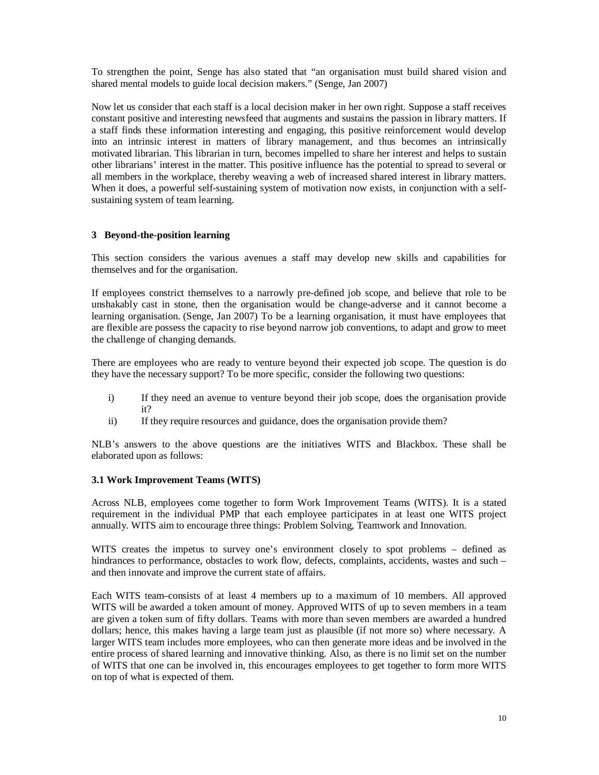To strengthen the point, Senge has also stated that "an organisation must build shared vision and shared mental models to guide local decision makers." (Senge, Jan 2007)

Now let us consider that each staff is a local decision maker in her own right. Suppose a staff receives constant positive and interesting newsfeed that augments and sustains the passion in library matters. If a staff finds these information interesting and engaging, this positive reinforcement would develop into an intrinsic interest in matters of library management, and thus becomes an intrinsically motivated librarian. This librarian in turn, becomes impelled to share her interest and helps to sustain other librarians' interest in the matter. This positive influence has the potential to spread to several or all members in the workplace, thereby weaving a web of increased shared interest in library matters. When it does, a powerful self-sustaining system of motivation now exists, in conjunction with a selfsustaining system of team learning.

#### **3 Beyond-the-position learning**

This section considers the various avenues a staff may develop new skills and capabilities for themselves and for the organisation.

If employees constrict themselves to a narrowly pre-defined job scope, and believe that role to be unshakably cast in stone, then the organisation would be change-adverse and it cannot become a learning organisation. (Senge, Jan 2007) To be a learning organisation, it must have employees that are flexible are possess the capacity to rise beyond narrow job conventions, to adapt and grow to meet the challenge of changing demands.

There are employees who are ready to venture beyond their expected job scope. The question is do they have the necessary support? To be more specific, consider the following two questions:

- i) If they need an avenue to venture beyond their job scope, does the organisation provide it?
- ii) If they require resources and guidance, does the organisation provide them?

NLB's answers to the above questions are the initiatives WITS and Blackbox. These shall be elaborated upon as follows:

#### **3.1 Work Improvement Teams (WITS)**

Across NLB, employees come together to form Work Improvement Teams (WITS). It is a stated requirement in the individual PMP that each employee participates in at least one WITS project annually. WITS aim to encourage three things: Problem Solving, Teamwork and Innovation.

WITS creates the impetus to survey one's environment closely to spot problems – defined as hindrances to performance, obstacles to work flow, defects, complaints, accidents, wastes and such – and then innovate and improve the current state of affairs.

Each WITS team consists of at least 4 members up to a maximum of 10 members. All approved WITS will be awarded a token amount of money. Approved WITS of up to seven members in a team are given a token sum of fifty dollars. Teams with more than seven members are awarded a hundred dollars; hence, this makes having a large team just as plausible (if not more so) where necessary. A larger WITS team includes more employees, who can then generate more ideas and be involved in the entire process of shared learning and innovative thinking. Also, as there is no limit set on the number of WITS that one can be involved in, this encourages employees to get together to form more WITS on top of what is expected of them.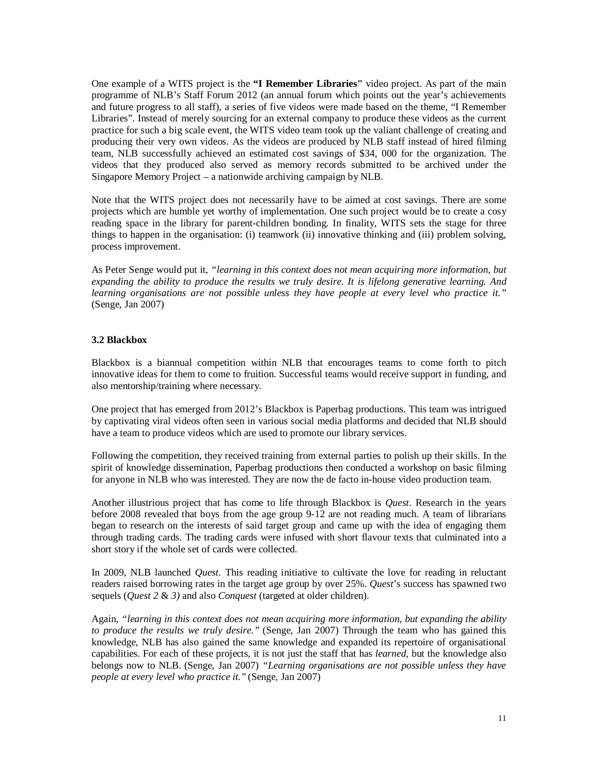One example of a WITS project is the **"I Remember Libraries"** video project. As part of the main programme of NLB's Staff Forum 2012 (an annual forum which points out the year's achievements and future progress to all staff), a series of five videos were made based on the theme, "I Remember Libraries". Instead of merely sourcing for an external company to produce these videos as the current practice for such a big scale event, the WITS video team took up the valiant challenge of creating and producing their very own videos. As the videos are produced by NLB staff instead of hired filming team, NLB successfully achieved an estimated cost savings of \$34, 000 for the organization. The videos that they produced also served as memory records submitted to be archived under the Singapore Memory Project – a nationwide archiving campaign by NLB.

Note that the WITS project does not necessarily have to be aimed at cost savings. There are some projects which are humble yet worthy of implementation. One such project would be to create a cosy reading space in the library for parent-children bonding. In finality, WITS sets the stage for three things to happen in the organisation: (i) teamwork (ii) innovative thinking and (iii) problem solving, process improvement.

As Peter Senge would put it, *"learning in this context does not mean acquiring more information, but expanding the ability to produce the results we truly desire. It is lifelong generative learning. And learning organisations are not possible unless they have people at every level who practice it."* (Senge, Jan 2007)

#### **3.2 Blackbox**

Blackbox is a biannual competition within NLB that encourages teams to come forth to pitch innovative ideas for them to come to fruition. Successful teams would receive support in funding, and also mentorship/training where necessary.

One project that has emerged from 2012's Blackbox is Paperbag productions. This team was intrigued by captivating viral videos often seen in various social media platforms and decided that NLB should have a team to produce videos which are used to promote our library services.

Following the competition, they received training from external parties to polish up their skills. In the spirit of knowledge dissemination, Paperbag productions then conducted a workshop on basic filming for anyone in NLB who was interested. They are now the de facto in-house video production team.

Another illustrious project that has come to life through Blackbox is *Quest*. Research in the years before 2008 revealed that boys from the age group 9-12 are not reading much. A team of librarians began to research on the interests of said target group and came up with the idea of engaging them through trading cards. The trading cards were infused with short flavour texts that culminated into a short story if the whole set of cards were collected.

In 2009, NLB launched *Quest*. This reading initiative to cultivate the love for reading in reluctant readers raised borrowing rates in the target age group by over 25%. *Quest*'s success has spawned two sequels (*Quest 2* & *3)* and also *Conquest* (targeted at older children).

Again, *"learning in this context does not mean acquiring more information, but expanding the ability to produce the results we truly desire."* (Senge, Jan 2007) Through the team who has gained this knowledge, NLB has also gained the same knowledge and expanded its repertoire of organisational capabilities. For each of these projects, it is not just the staff that has *learned,* but the knowledge also belongs now to NLB. (Senge, Jan 2007) *"Learning organisations are not possible unless they have people at every level who practice it."* (Senge, Jan 2007)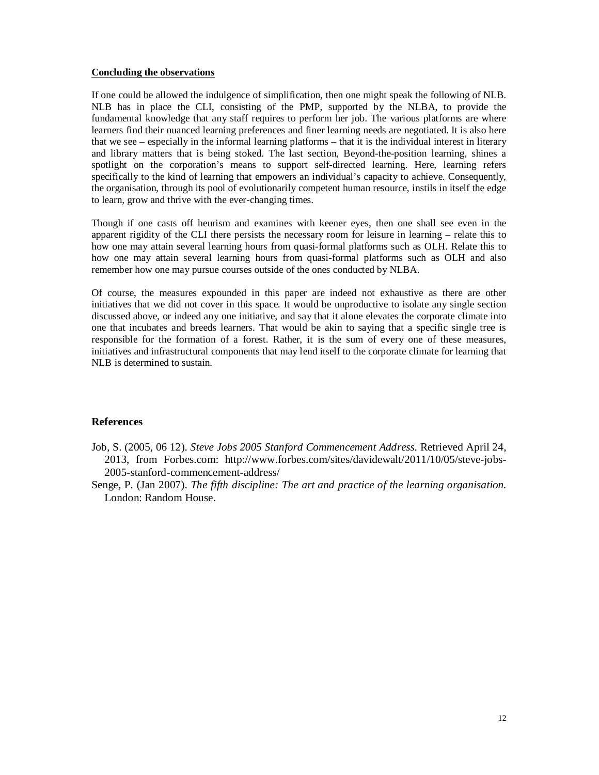#### **Concluding the observations**

If one could be allowed the indulgence of simplification, then one might speak the following of NLB. NLB has in place the CLI, consisting of the PMP, supported by the NLBA, to provide the fundamental knowledge that any staff requires to perform her job. The various platforms are where learners find their nuanced learning preferences and finer learning needs are negotiated. It is also here that we see – especially in the informal learning platforms – that it is the individual interest in literary and library matters that is being stoked. The last section, Beyond-the-position learning, shines a spotlight on the corporation's means to support self-directed learning. Here, learning refers specifically to the kind of learning that empowers an individual's capacity to achieve. Consequently, the organisation, through its pool of evolutionarily competent human resource, instils in itself the edge to learn, grow and thrive with the ever-changing times.

Though if one casts off heurism and examines with keener eyes, then one shall see even in the apparent rigidity of the CLI there persists the necessary room for leisure in learning – relate this to how one may attain several learning hours from quasi-formal platforms such as OLH. Relate this to how one may attain several learning hours from quasi-formal platforms such as OLH and also remember how one may pursue courses outside of the ones conducted by NLBA.

Of course, the measures expounded in this paper are indeed not exhaustive as there are other initiatives that we did not cover in this space. It would be unproductive to isolate any single section discussed above, or indeed any one initiative, and say that it alone elevates the corporate climate into one that incubates and breeds learners. That would be akin to saying that a specific single tree is responsible for the formation of a forest. Rather, it is the sum of every one of these measures, initiatives and infrastructural components that may lend itself to the corporate climate for learning that NLB is determined to sustain.

#### **References**

- Job, S. (2005, 06 12). *Steve Jobs 2005 Stanford Commencement Address*. Retrieved April 24, 2013, from Forbes.com: <http://www.forbes.com/sites/davidewalt/2011/10/05/steve-jobs->2005-stanford-commencement-address/
- Senge, P. (Jan 2007). *The fifth discipline: The art and practice of the learning organisation.* London: Random House.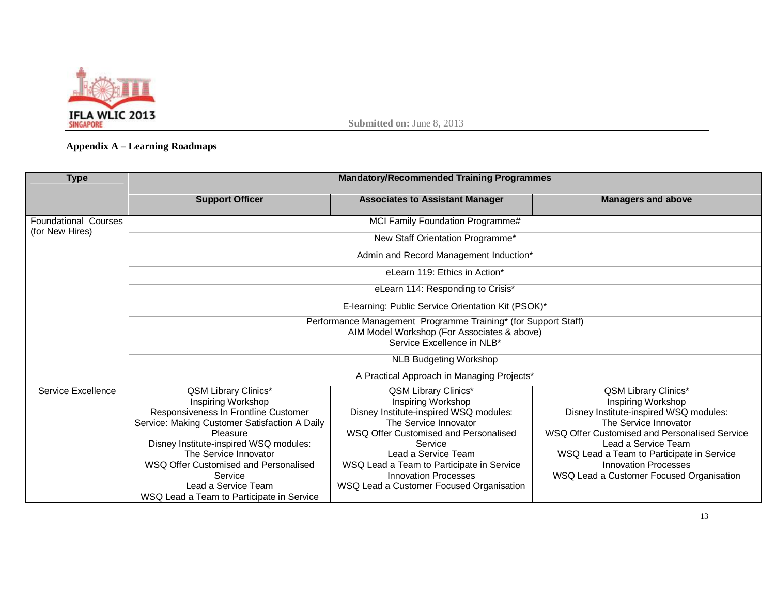

## **Appendix A – Learning Roadmaps**

| <b>Type</b>                                    | <b>Mandatory/Recommended Training Programmes</b>                                                                                                                                                                                                                                                                                                  |                                                                                                                                                                                                                                                                                                                  |                                                                                                                                                                                                                                                                                                                      |  |  |
|------------------------------------------------|---------------------------------------------------------------------------------------------------------------------------------------------------------------------------------------------------------------------------------------------------------------------------------------------------------------------------------------------------|------------------------------------------------------------------------------------------------------------------------------------------------------------------------------------------------------------------------------------------------------------------------------------------------------------------|----------------------------------------------------------------------------------------------------------------------------------------------------------------------------------------------------------------------------------------------------------------------------------------------------------------------|--|--|
|                                                | <b>Support Officer</b>                                                                                                                                                                                                                                                                                                                            | <b>Associates to Assistant Manager</b>                                                                                                                                                                                                                                                                           | <b>Managers and above</b>                                                                                                                                                                                                                                                                                            |  |  |
| <b>Foundational Courses</b><br>(for New Hires) | MCI Family Foundation Programme#                                                                                                                                                                                                                                                                                                                  |                                                                                                                                                                                                                                                                                                                  |                                                                                                                                                                                                                                                                                                                      |  |  |
|                                                | New Staff Orientation Programme*                                                                                                                                                                                                                                                                                                                  |                                                                                                                                                                                                                                                                                                                  |                                                                                                                                                                                                                                                                                                                      |  |  |
|                                                | Admin and Record Management Induction*                                                                                                                                                                                                                                                                                                            |                                                                                                                                                                                                                                                                                                                  |                                                                                                                                                                                                                                                                                                                      |  |  |
|                                                | eLearn 119: Ethics in Action*                                                                                                                                                                                                                                                                                                                     |                                                                                                                                                                                                                                                                                                                  |                                                                                                                                                                                                                                                                                                                      |  |  |
|                                                | eLearn 114: Responding to Crisis*                                                                                                                                                                                                                                                                                                                 |                                                                                                                                                                                                                                                                                                                  |                                                                                                                                                                                                                                                                                                                      |  |  |
|                                                | E-learning: Public Service Orientation Kit (PSOK)*                                                                                                                                                                                                                                                                                                |                                                                                                                                                                                                                                                                                                                  |                                                                                                                                                                                                                                                                                                                      |  |  |
|                                                | Performance Management Programme Training* (for Support Staff)                                                                                                                                                                                                                                                                                    |                                                                                                                                                                                                                                                                                                                  |                                                                                                                                                                                                                                                                                                                      |  |  |
|                                                | AIM Model Workshop (For Associates & above)<br>Service Excellence in NLB*                                                                                                                                                                                                                                                                         |                                                                                                                                                                                                                                                                                                                  |                                                                                                                                                                                                                                                                                                                      |  |  |
|                                                | <b>NLB Budgeting Workshop</b>                                                                                                                                                                                                                                                                                                                     |                                                                                                                                                                                                                                                                                                                  |                                                                                                                                                                                                                                                                                                                      |  |  |
|                                                | A Practical Approach in Managing Projects*                                                                                                                                                                                                                                                                                                        |                                                                                                                                                                                                                                                                                                                  |                                                                                                                                                                                                                                                                                                                      |  |  |
| Service Excellence                             | <b>QSM Library Clinics*</b><br>Inspiring Workshop<br>Responsiveness In Frontline Customer<br>Service: Making Customer Satisfaction A Daily<br>Pleasure<br>Disney Institute-inspired WSQ modules:<br>The Service Innovator<br>WSQ Offer Customised and Personalised<br>Service<br>Lead a Service Team<br>WSQ Lead a Team to Participate in Service | QSM Library Clinics*<br>Inspiring Workshop<br>Disney Institute-inspired WSQ modules:<br>The Service Innovator<br>WSQ Offer Customised and Personalised<br>Service<br>Lead a Service Team<br>WSQ Lead a Team to Participate in Service<br><b>Innovation Processes</b><br>WSQ Lead a Customer Focused Organisation | <b>QSM Library Clinics*</b><br>Inspiring Workshop<br>Disney Institute-inspired WSQ modules:<br>The Service Innovator<br>WSQ Offer Customised and Personalised Service<br>Lead a Service Team<br>WSQ Lead a Team to Participate in Service<br><b>Innovation Processes</b><br>WSQ Lead a Customer Focused Organisation |  |  |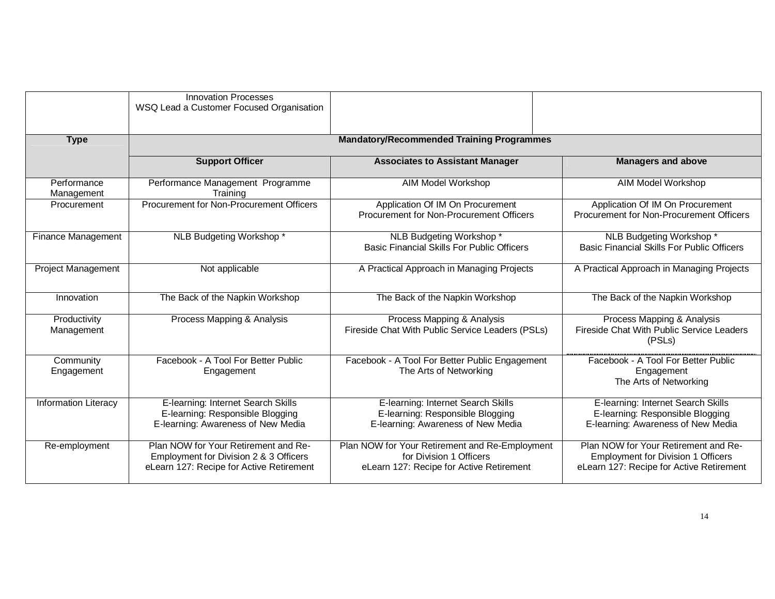|                             | <b>Innovation Processes</b><br>WSQ Lead a Customer Focused Organisation                                                    |                                                                                                                       |                                                                                                                               |  |
|-----------------------------|----------------------------------------------------------------------------------------------------------------------------|-----------------------------------------------------------------------------------------------------------------------|-------------------------------------------------------------------------------------------------------------------------------|--|
| <b>Type</b>                 | <b>Mandatory/Recommended Training Programmes</b>                                                                           |                                                                                                                       |                                                                                                                               |  |
|                             | <b>Support Officer</b>                                                                                                     | <b>Associates to Assistant Manager</b>                                                                                | <b>Managers and above</b>                                                                                                     |  |
| Performance<br>Management   | Performance Management Programme<br>Training                                                                               | AIM Model Workshop                                                                                                    | AIM Model Workshop                                                                                                            |  |
| Procurement                 | Procurement for Non-Procurement Officers                                                                                   | Application Of IM On Procurement<br>Procurement for Non-Procurement Officers                                          | Application Of IM On Procurement<br>Procurement for Non-Procurement Officers                                                  |  |
| <b>Finance Management</b>   | NLB Budgeting Workshop *                                                                                                   | NLB Budgeting Workshop*<br><b>Basic Financial Skills For Public Officers</b>                                          | NLB Budgeting Workshop*<br><b>Basic Financial Skills For Public Officers</b>                                                  |  |
| <b>Project Management</b>   | Not applicable                                                                                                             | A Practical Approach in Managing Projects                                                                             | A Practical Approach in Managing Projects                                                                                     |  |
| Innovation                  | The Back of the Napkin Workshop                                                                                            | The Back of the Napkin Workshop                                                                                       | The Back of the Napkin Workshop                                                                                               |  |
| Productivity<br>Management  | Process Mapping & Analysis                                                                                                 | Process Mapping & Analysis<br>Fireside Chat With Public Service Leaders (PSLs)                                        | Process Mapping & Analysis<br>Fireside Chat With Public Service Leaders<br>(PSLS)                                             |  |
| Community<br>Engagement     | Facebook - A Tool For Better Public<br>Engagement                                                                          | Facebook - A Tool For Better Public Engagement<br>The Arts of Networking                                              | Facebook - A Tool For Better Public<br>Engagement<br>The Arts of Networking                                                   |  |
| <b>Information Literacy</b> | E-learning: Internet Search Skills<br>E-learning: Responsible Blogging<br>E-learning: Awareness of New Media               | E-learning: Internet Search Skills<br>E-learning: Responsible Blogging<br>E-learning: Awareness of New Media          | E-learning: Internet Search Skills<br>E-learning: Responsible Blogging<br>E-learning: Awareness of New Media                  |  |
| Re-employment               | Plan NOW for Your Retirement and Re-<br>Employment for Division 2 & 3 Officers<br>eLearn 127: Recipe for Active Retirement | Plan NOW for Your Retirement and Re-Employment<br>for Division 1 Officers<br>eLearn 127: Recipe for Active Retirement | Plan NOW for Your Retirement and Re-<br><b>Employment for Division 1 Officers</b><br>eLearn 127: Recipe for Active Retirement |  |